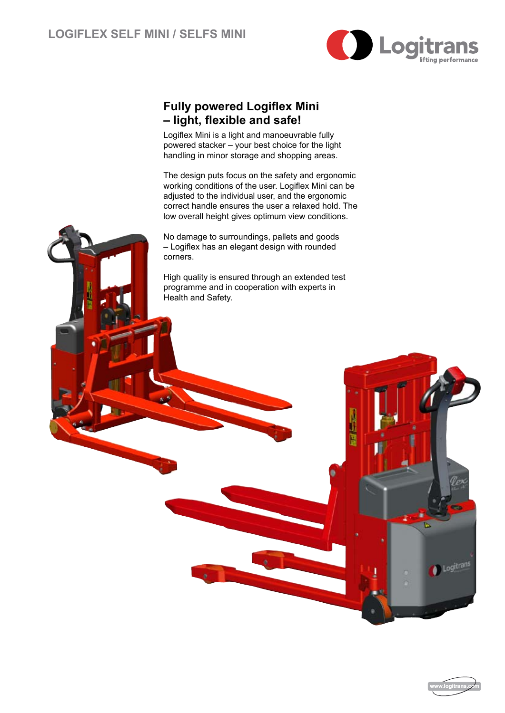

l<br>B

## **Fully powered Logiflex Mini – light, flexible and safe!**

Logiflex Mini is a light and manoeuvrable fully powered stacker – your best choice for the light handling in minor storage and shopping areas.

The design puts focus on the safety and ergonomic working conditions of the user. Logiflex Mini can be adjusted to the individual user, and the ergonomic correct handle ensures the user a relaxed hold. The low overall height gives optimum view conditions.

No damage to surroundings, pallets and goods – Logiflex has an elegant design with rounded corners.

High quality is ensured through an extended test programme and in cooperation with experts in Health and Safety.



Logitrans